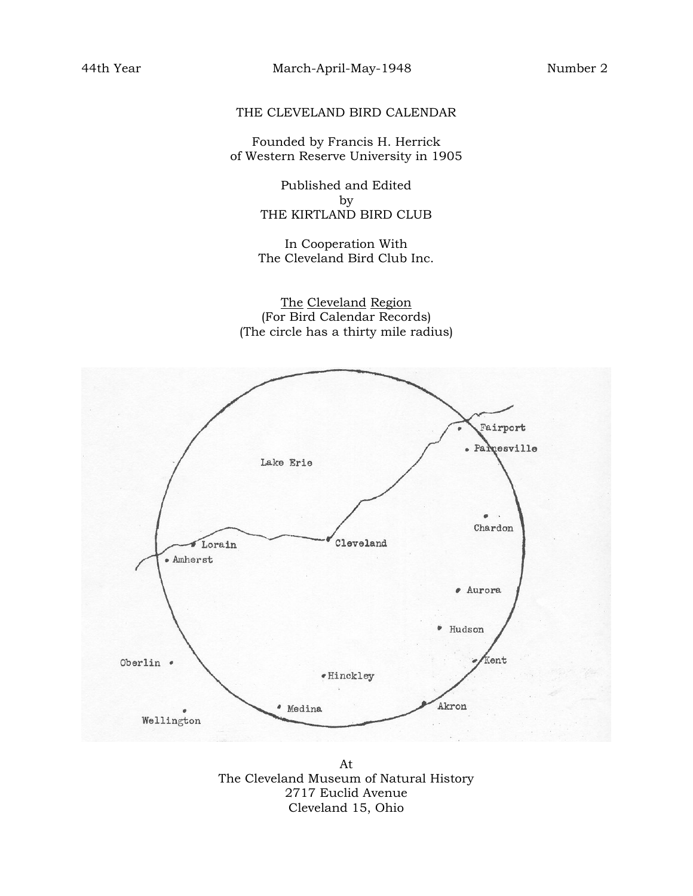## THE CLEVELAND BIRD CALENDAR

Founded by Francis H. Herrick of Western Reserve University in 1905

> Published and Edited by THE KIRTLAND BIRD CLUB

> In Cooperation With The Cleveland Bird Club Inc.

The Cleveland Region (For Bird Calendar Records) (The circle has a thirty mile radius)



At The Cleveland Museum of Natural History 2717 Euclid Avenue Cleveland 15, Ohio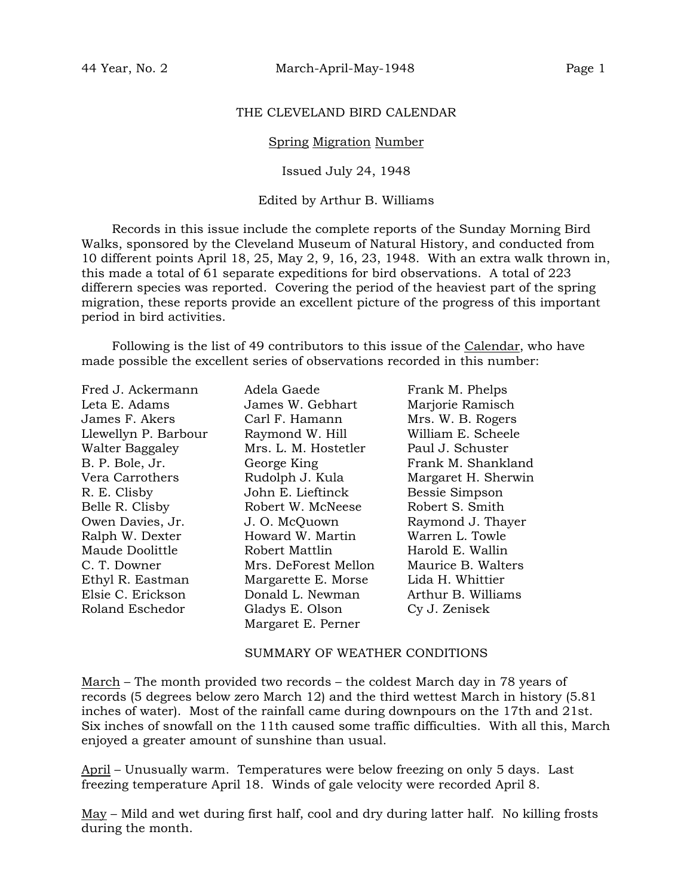### THE CLEVELAND BIRD CALENDAR

#### Spring Migration Number

#### Issued July 24, 1948

#### Edited by Arthur B. Williams

Records in this issue include the complete reports of the Sunday Morning Bird Walks, sponsored by the Cleveland Museum of Natural History, and conducted from 10 different points April 18, 25, May 2, 9, 16, 23, 1948. With an extra walk thrown in, this made a total of 61 separate expeditions for bird observations. A total of 223 differern species was reported. Covering the period of the heaviest part of the spring migration, these reports provide an excellent picture of the progress of this important period in bird activities.

Following is the list of 49 contributors to this issue of the Calendar, who have made possible the excellent series of observations recorded in this number:

| Fred J. Ackermann    | Adela Gaede          |
|----------------------|----------------------|
| Leta E. Adams        | James W. Gebhart     |
| James F. Akers       | Carl F. Hamann       |
| Llewellyn P. Barbour | Raymond W. Hill      |
| Walter Baggaley      | Mrs. L. M. Hostetler |
| B. P. Bole, Jr.      | George King          |
| Vera Carrothers      | Rudolph J. Kula      |
| R. E. Clisby         | John E. Lieftinck    |
| Belle R. Clisby      | Robert W. McNeese    |
| Owen Davies, Jr.     | J. O. McQuown        |
| Ralph W. Dexter      | Howard W. Martin     |
| Maude Doolittle      | Robert Mattlin       |
| C. T. Downer         | Mrs. DeForest Mello  |
| Ethyl R. Eastman     | Margarette E. Mors   |
| Elsie C. Erickson    | Donald L. Newman     |
| Roland Eschedor      | Gladys E. Olson      |
|                      | Margaret E. Perner   |

Frank M. Phelps Marjorie Ramisch Mrs. W. B. Rogers William E. Scheele er Paul J. Schuster Frank M. Shankland Margaret H. Sherwin Bessie Simpson Belle Robert S. Smith Raymond J. Thayer Warren L. Towle Harold E. Wallin on Maurice B. Walters ethyl Etha H. Whittier Arthur B. Williams Cy J. Zenisek

#### SUMMARY OF WEATHER CONDITIONS

March – The month provided two records – the coldest March day in 78 years of records (5 degrees below zero March 12) and the third wettest March in history (5.81 inches of water). Most of the rainfall came during downpours on the 17th and 21st. Six inches of snowfall on the 11th caused some traffic difficulties. With all this, March enjoyed a greater amount of sunshine than usual.

April – Unusually warm. Temperatures were below freezing on only 5 days. Last freezing temperature April 18. Winds of gale velocity were recorded April 8.

 $\text{May}$  – Mild and wet during first half, cool and dry during latter half. No killing frosts during the month.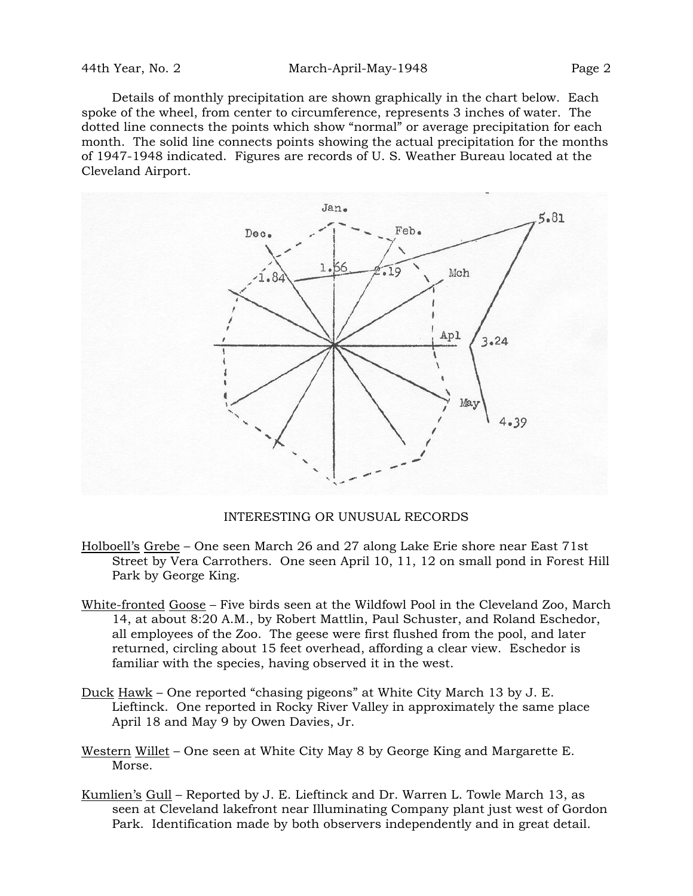Details of monthly precipitation are shown graphically in the chart below. Each spoke of the wheel, from center to circumference, represents 3 inches of water. The dotted line connects the points which show "normal" or average precipitation for each month. The solid line connects points showing the actual precipitation for the months of 1947-1948 indicated. Figures are records of U. S. Weather Bureau located at the Cleveland Airport.



INTERESTING OR UNUSUAL RECORDS

- Holboell's Grebe One seen March 26 and 27 along Lake Erie shore near East 71st Street by Vera Carrothers. One seen April 10, 11, 12 on small pond in Forest Hill Park by George King.
- White-fronted Goose Five birds seen at the Wildfowl Pool in the Cleveland Zoo, March 14, at about 8:20 A.M., by Robert Mattlin, Paul Schuster, and Roland Eschedor, all employees of the Zoo. The geese were first flushed from the pool, and later returned, circling about 15 feet overhead, affording a clear view. Eschedor is familiar with the species, having observed it in the west.
- Duck Hawk One reported "chasing pigeons" at White City March 13 by J. E. Lieftinck. One reported in Rocky River Valley in approximately the same place April 18 and May 9 by Owen Davies, Jr.
- Western Willet One seen at White City May 8 by George King and Margarette E. Morse.
- Kumlien's Gull Reported by J. E. Lieftinck and Dr. Warren L. Towle March 13, as seen at Cleveland lakefront near Illuminating Company plant just west of Gordon Park. Identification made by both observers independently and in great detail.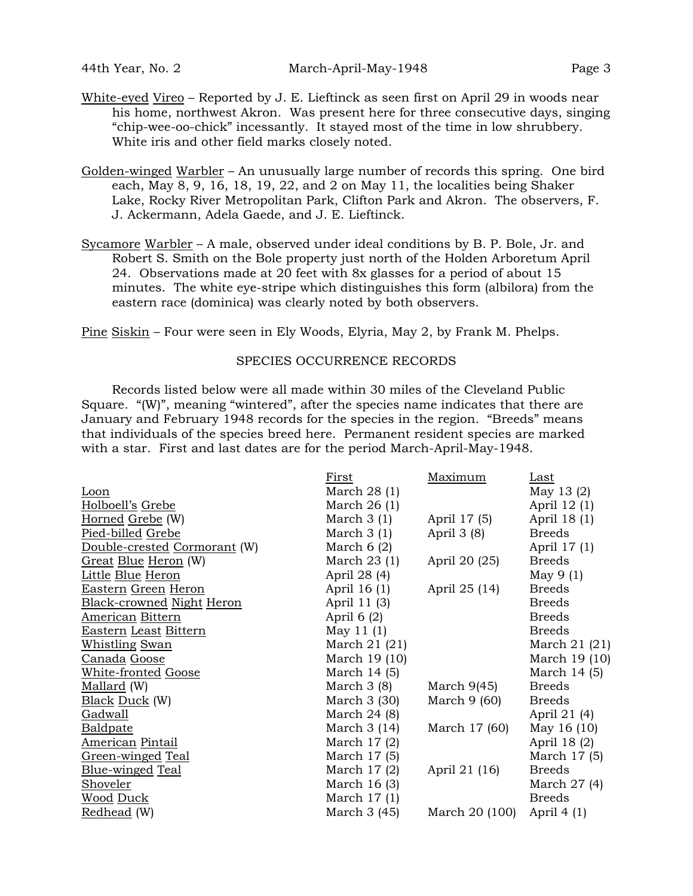- White-eyed Vireo Reported by J. E. Lieftinck as seen first on April 29 in woods near his home, northwest Akron. Was present here for three consecutive days, singing "chip-wee-oo-chick" incessantly. It stayed most of the time in low shrubbery. White iris and other field marks closely noted.
- Golden-winged Warbler An unusually large number of records this spring. One bird each, May 8, 9, 16, 18, 19, 22, and 2 on May 11, the localities being Shaker Lake, Rocky River Metropolitan Park, Clifton Park and Akron. The observers, F. J. Ackermann, Adela Gaede, and J. E. Lieftinck.
- Sycamore Warbler A male, observed under ideal conditions by B. P. Bole, Jr. and Robert S. Smith on the Bole property just north of the Holden Arboretum April 24. Observations made at 20 feet with 8x glasses for a period of about 15 minutes. The white eye-stripe which distinguishes this form (albilora) from the eastern race (dominica) was clearly noted by both observers.

Pine Siskin – Four were seen in Ely Woods, Elyria, May 2, by Frank M. Phelps.

### SPECIES OCCURRENCE RECORDS

Records listed below were all made within 30 miles of the Cleveland Public Square. "(W)", meaning "wintered", after the species name indicates that there are January and February 1948 records for the species in the region. "Breeds" means that individuals of the species breed here. Permanent resident species are marked with a star. First and last dates are for the period March-April-May-1948.

|                              | First         | Maximum        | Last          |
|------------------------------|---------------|----------------|---------------|
| Loon                         | March $28(1)$ |                | May 13 $(2)$  |
| Holboell's Grebe             | March $26(1)$ |                | April 12 (1)  |
| Horned Grebe (W)             | March $3(1)$  | April 17 (5)   | April 18 (1)  |
| Pied-billed Grebe            | March $3(1)$  | April $3(8)$   | <b>Breeds</b> |
| Double-crested Cormorant (W) | March $6(2)$  |                | April 17 (1)  |
| Great Blue Heron (W)         | March $23(1)$ | April 20 (25)  | <b>Breeds</b> |
| Little Blue Heron            | April 28 (4)  |                | May $9(1)$    |
| Eastern Green Heron          | April 16 (1)  | April 25 (14)  | <b>Breeds</b> |
| Black-crowned Night Heron    | April 11 (3)  |                | <b>Breeds</b> |
| American Bittern             | April $6(2)$  |                | <b>Breeds</b> |
| Eastern Least Bittern        | May 11 $(1)$  |                | <b>Breeds</b> |
| <b>Whistling Swan</b>        | March 21 (21) |                | March 21 (21) |
| Canada Goose                 | March 19 (10) |                | March 19 (10) |
| <u> White-fronted Goose</u>  | March 14 (5)  |                | March 14 (5)  |
| Mallard (W)                  | March $3(8)$  | March $9(45)$  | <b>Breeds</b> |
| <b>Black Duck</b> (W)        | March 3 (30)  | March $9(60)$  | <b>Breeds</b> |
| Gadwall                      | March 24 (8)  |                | April 21 (4)  |
| <b>Baldpate</b>              | March $3(14)$ | March 17 (60)  | May 16 (10)   |
| <b>American Pintail</b>      | March $17(2)$ |                | April 18 (2)  |
| Green-winged Teal            | March 17 (5)  |                | March 17 (5)  |
| Blue-winged Teal             | March $17(2)$ | April 21 (16)  | <b>Breeds</b> |
| Shoveler                     | March 16 (3)  |                | March $27(4)$ |
| Wood Duck                    | March $17(1)$ |                | <b>Breeds</b> |
| Redhead (W)                  | March 3 (45)  | March 20 (100) | April $4(1)$  |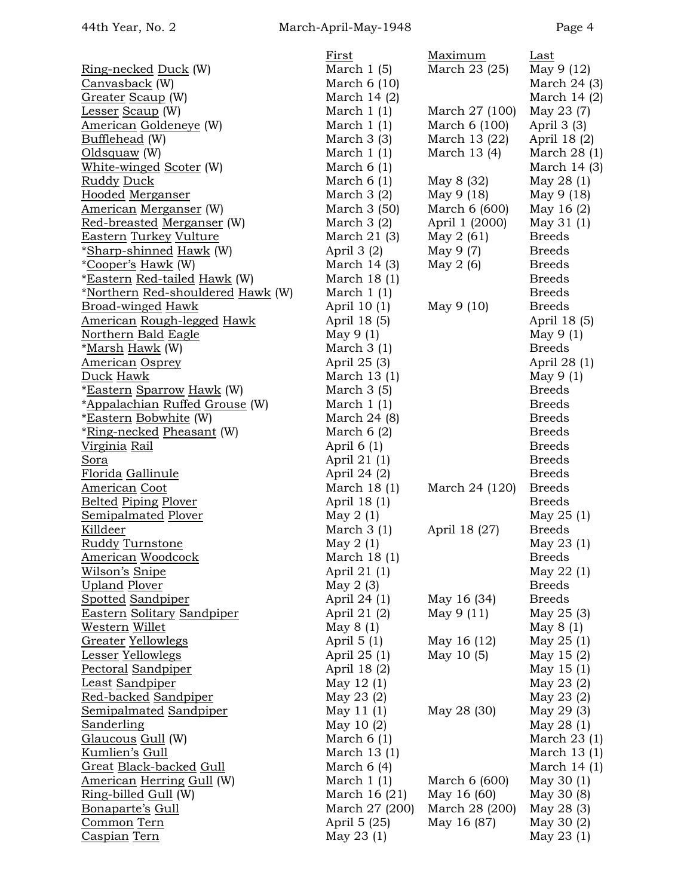|                                       | First          | Maximum        | Last          |
|---------------------------------------|----------------|----------------|---------------|
| <u>Ring-necked Duck</u> (W)           | March $1(5)$   | March 23 (25)  | May 9 (12)    |
| Canvasback (W)                        | March $6(10)$  |                | March $24(3)$ |
| <b>Greater Scaup (W)</b>              | March $14(2)$  |                | March $14(2)$ |
| Lesser Scaup (W)                      | March $1(1)$   | March 27 (100) | May 23 (7)    |
| <u> American Goldeneye</u> (W)        | March $1(1)$   | March 6 (100)  | April $3(3)$  |
| Bufflehead (W)                        | March $3(3)$   | March 13 (22)  | April 18 (2)  |
| Oldsquaw (W)                          | March $1(1)$   | March 13 (4)   | March 28 (1)  |
| White-winged Scoter (W)               | March $6(1)$   |                | March 14 (3)  |
| <u>Ruddy Duck</u>                     | March $6(1)$   | May 8 (32)     | May 28 (1)    |
| Hooded Merganser                      | March $3(2)$   | May 9 (18)     | May 9 (18)    |
| American Merganser (W)                | March 3 (50)   | March 6 (600)  | May 16 (2)    |
| Red-breasted Merganser (W)            | March $3(2)$   | April 1 (2000) | May 31 (1)    |
| <b>Eastern Turkey Vulture</b>         | March $21(3)$  | May $2(61)$    | <b>Breeds</b> |
| *Sharp-shinned Hawk (W)               | April $3(2)$   | May 9 (7)      | <b>Breeds</b> |
| <i>*Cooper's Hawk</i> (W)             | March $14(3)$  | May $2(6)$     | <b>Breeds</b> |
| <u>*Eastern Red-tailed Hawk</u> (W)   | March $18(1)$  |                | <b>Breeds</b> |
| *Northern Red-shouldered Hawk (W)     | March $1(1)$   |                | <b>Breeds</b> |
| <b>Broad-winged Hawk</b>              | April 10 (1)   | May 9 (10)     | <b>Breeds</b> |
| <u> American Rough-legged Hawk</u>    | April 18 (5)   |                | April 18 (5)  |
| Northern Bald Eagle                   | May $9(1)$     |                | May $9(1)$    |
| <u>*Marsh Hawk</u> (W)                | March $3(1)$   |                | <b>Breeds</b> |
| <u>American Osprey</u>                | April 25 (3)   |                | April 28 (1)  |
| Duck Hawk                             | March 13 (1)   |                | May $9(1)$    |
|                                       |                |                | <b>Breeds</b> |
| *Eastern Sparrow Hawk (W)             | March $3(5)$   |                | <b>Breeds</b> |
| <u>*Appalachian Ruffed Grouse</u> (W) | March $1(1)$   |                | <b>Breeds</b> |
| <i>*Eastern Bobwhite</i> (W)          | March 24 (8)   |                | <b>Breeds</b> |
| <u>*Ring-necked Pheasant</u> (W)      | March $6(2)$   |                | <b>Breeds</b> |
| Virginia Rail                         | April $6(1)$   |                |               |
| Sora                                  | April 21 (1)   |                | <b>Breeds</b> |
| <u>Florida Gallinule</u>              | April 24 (2)   |                | <b>Breeds</b> |
| <b>American Coot</b>                  | March $18(1)$  | March 24 (120) | <b>Breeds</b> |
| <b>Belted Piping Plover</b>           | April 18 (1)   |                | <b>Breeds</b> |
| <b>Semipalmated Plover</b>            | May $2(1)$     |                | May $25(1)$   |
| Killdeer                              | March $3(1)$   | April 18 (27)  | <b>Breeds</b> |
| Ruddy Turnstone                       | May $2(1)$     |                | May 23 (1)    |
| <b>American Woodcock</b>              | March 18 (1)   |                | <b>Breeds</b> |
| <u> Wilson's Snipe</u>                | April 21 (1)   |                | May $22(1)$   |
| <b>Upland Plover</b>                  | May $2(3)$     |                | <b>Breeds</b> |
| <b>Spotted Sandpiper</b>              | April 24 (1)   | May 16 (34)    | <b>Breeds</b> |
| Eastern Solitary Sandpiper            | April 21 (2)   | May 9(11)      | May 25 (3)    |
| Western Willet                        | May $8(1)$     |                | May $8(1)$    |
| Greater Yellowlegs                    | April $5(1)$   | May 16 (12)    | May $25(1)$   |
| Lesser Yellowlegs                     | April 25 (1)   | May 10 (5)     | May 15 (2)    |
| Pectoral Sandpiper                    | April 18 (2)   |                | May $15(1)$   |
| Least Sandpiper                       | May $12(1)$    |                | May 23 (2)    |
| <u> Red-backed Sandpiper</u>          | May 23 (2)     |                | May 23 (2)    |
| <u>Semipalmated Sandpiper</u>         | May $11(1)$    | May 28 (30)    | May 29 (3)    |
| Sanderling                            | May $10(2)$    |                | May 28 (1)    |
| <u> Glaucous Gull</u> (W)             | March $6(1)$   |                | March $23(1)$ |
| <u>Kumlien's Gull</u>                 | March 13 (1)   |                | March $13(1)$ |
| Great Black-backed Gull               | March $6(4)$   |                | March $14(1)$ |
| American Herring Gull (W)             | March $1(1)$   | March 6 (600)  | May 30 (1)    |
| <u>Ring-billed Gull</u> (W)           | March $16(21)$ | May 16 (60)    | May 30 (8)    |
| <u>Bonaparte's Gull</u>               | March 27 (200) | March 28 (200) | May 28 (3)    |
| <u>Common</u> Tern                    | April 5 (25)   | May 16 (87)    | May 30 (2)    |
| Caspian Tern                          | May 23 (1)     |                | May 23 (1)    |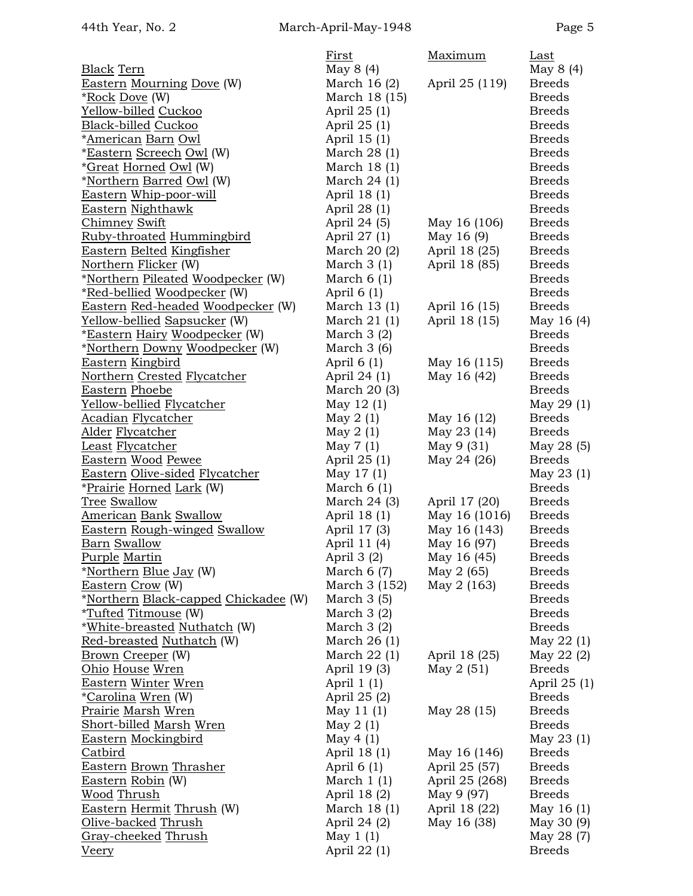|                                      | First         | Maximum        | Last          |
|--------------------------------------|---------------|----------------|---------------|
| <b>Black Tern</b>                    | May 8 (4)     |                | May 8 (4)     |
| <b>Eastern Mourning Dove (W)</b>     | March $16(2)$ | April 25 (119) | <b>Breeds</b> |
| <u>*Rock</u> Dove (W)                | March 18 (15) |                | <b>Breeds</b> |
| Yellow-billed Cuckoo                 | April 25 (1)  |                | <b>Breeds</b> |
| Black-billed Cuckoo                  | April 25 (1)  |                | <b>Breeds</b> |
| <u> *American Barn Owl</u>           | April 15 (1)  |                | <b>Breeds</b> |
| *Eastern Screech Owl (W)             | March $28(1)$ |                | <b>Breeds</b> |
| <i>*Great Horned Owl</i> (W)         | March $18(1)$ |                | <b>Breeds</b> |
| *Northern Barred Owl (W)             | March $24(1)$ |                | <b>Breeds</b> |
| Eastern Whip-poor-will               | April 18 (1)  |                | <b>Breeds</b> |
| <b>Eastern Nighthawk</b>             | April 28 (1)  |                | <b>Breeds</b> |
| <b>Chimney Swift</b>                 | April 24 (5)  | May 16 (106)   | <b>Breeds</b> |
| Ruby-throated Hummingbird            | April 27 (1)  | May 16 (9)     | <b>Breeds</b> |
| Eastern Belted Kingfisher            | March 20 (2)  | April 18 (25)  | <b>Breeds</b> |
| Northern Flicker (W)                 | March $3(1)$  | April 18 (85)  | <b>Breeds</b> |
| *Northern Pileated Woodpecker (W)    | March $6(1)$  |                | <b>Breeds</b> |
| *Red-bellied Woodpecker (W)          | April $6(1)$  |                | <b>Breeds</b> |
| Eastern Red-headed Woodpecker (W)    | March $13(1)$ | April 16 (15)  | <b>Breeds</b> |
|                                      |               |                |               |
| Yellow-bellied Sapsucker (W)         | March $21(1)$ | April 18 (15)  | May 16 (4)    |
| <u>*Eastern Hairy Woodpecker</u> (W) | March $3(2)$  |                | <b>Breeds</b> |
| *Northern Downy Woodpecker (W)       | March $3(6)$  |                | <b>Breeds</b> |
| Eastern Kingbird                     | April $6(1)$  | May 16 (115)   | <b>Breeds</b> |
| Northern Crested Flycatcher          | April 24 (1)  | May 16 (42)    | <b>Breeds</b> |
| <b>Eastern Phoebe</b>                | March 20 (3)  |                | <b>Breeds</b> |
| <u> Yellow-bellied Flycatcher</u>    | May 12 (1)    |                | May 29 (1)    |
| <u>Acadian Flycatcher</u>            | May $2(1)$    | May 16 (12)    | <b>Breeds</b> |
| <u>Alder Flycatcher</u>              | May $2(1)$    | May 23 (14)    | <b>Breeds</b> |
| Least Flycatcher                     | May $7(1)$    | $May\ 9\ (31)$ | May 28 (5)    |
| Eastern Wood Pewee                   | April 25 (1)  | May 24 (26)    | <b>Breeds</b> |
| Eastern Olive-sided Flycatcher       | May 17 (1)    |                | May $23(1)$   |
| *Prairie Horned Lark (W)             | March $6(1)$  |                | <b>Breeds</b> |
| Tree Swallow                         | March $24(3)$ | April 17 (20)  | <b>Breeds</b> |
| <b>American Bank Swallow</b>         | April 18 (1)  | May 16 (1016)  | <b>Breeds</b> |
| Eastern Rough-winged Swallow         | April 17 (3)  | May 16 (143)   | <b>Breeds</b> |
| <b>Barn Swallow</b>                  | April 11 (4)  | May 16 (97)    | <b>Breeds</b> |
| <b>Purple Martin</b>                 | April 3 (2)   | May 16 (45)    | <b>Breeds</b> |
| *Northern Blue Jay (W)               | March $6(7)$  | May 2 (65)     | <b>Breeds</b> |
| Eastern Crow (W)                     | March 3 (152) | May 2 (163)    | <b>Breeds</b> |
| *Northern Black-capped Chickadee (W) | March $3(5)$  |                | <b>Breeds</b> |
| <u>*Tufted Titmouse</u> (W)          | March $3(2)$  |                | <b>Breeds</b> |
| *White-breasted Nuthatch (W)         | March $3(2)$  |                | <b>Breeds</b> |
| Red-breasted Nuthatch (W)            | March $26(1)$ |                | May $22(1)$   |
| <b>Brown Creeper</b> (W)             | March $22(1)$ | April 18 (25)  | May 22 (2)    |
| <u>Ohio House Wren</u>               | April 19 (3)  | May 2 (51)     | <b>Breeds</b> |
| Eastern Winter Wren                  | April $1(1)$  |                | April 25 (1)  |
| <u> *Carolina Wren</u> (W)           | April 25 (2)  |                | <b>Breeds</b> |
| <u>Prairie Marsh Wren</u>            | May $11(1)$   | May 28 (15)    | <b>Breeds</b> |
| <u>Short-billed Marsh Wren</u>       | May $2(1)$    |                | <b>Breeds</b> |
| Eastern Mockingbird                  | May $4(1)$    |                | May $23(1)$   |
| Catbird                              | April 18 (1)  | May 16 (146)   | <b>Breeds</b> |
| Eastern Brown Thrasher               | April $6(1)$  | April 25 (57)  | <b>Breeds</b> |
| Eastern Robin (W)                    | March $1(1)$  | April 25 (268) | <b>Breeds</b> |
| <u>Wood Thrush</u>                   | April 18 (2)  | May 9 (97)     | <b>Breeds</b> |
|                                      |               |                |               |
| Eastern Hermit Thrush (W)            | March $18(1)$ | April 18 (22)  | May 16 (1)    |
| Olive-backed Thrush                  | April 24 (2)  | May 16 (38)    | May 30 (9)    |
| Gray-cheeked Thrush                  | May $1(1)$    |                | May 28 (7)    |
| <b>Veery</b>                         | April 22 (1)  |                | <b>Breeds</b> |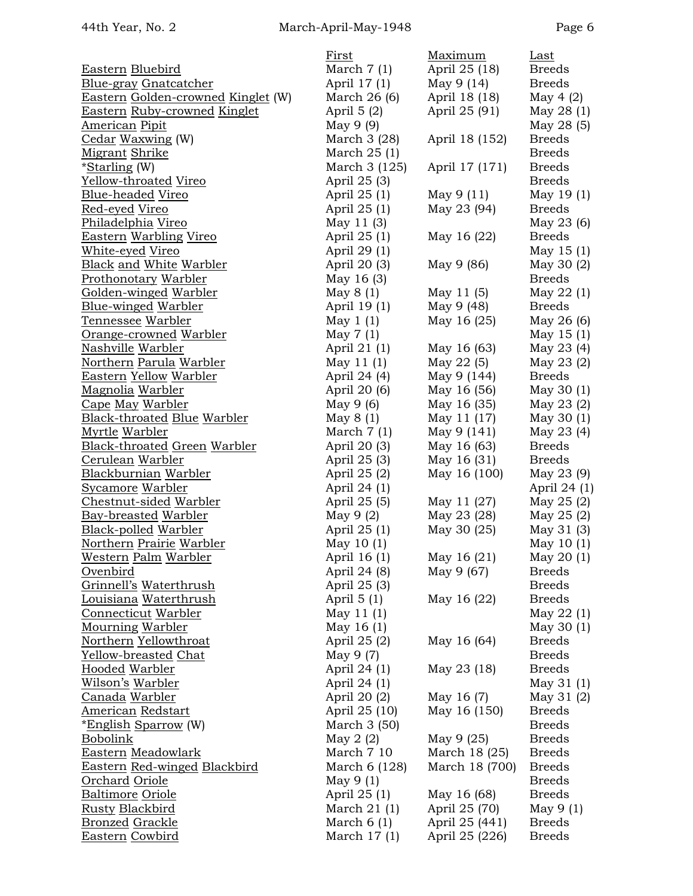|                                     | First         | Maximum        | Last          |
|-------------------------------------|---------------|----------------|---------------|
| Eastern Bluebird                    | March $7(1)$  | April 25 (18)  | <b>Breeds</b> |
| <u>Blue-gray Gnatcatcher</u>        | April 17 (1)  | May $9(14)$    | <b>Breeds</b> |
| Eastern Golden-crowned Kinglet (W)  | March $26(6)$ | April 18 (18)  | May 4 $(2)$   |
| <b>Eastern Ruby-crowned Kinglet</b> | April $5(2)$  | April 25 (91)  | May 28 (1)    |
| <b>American Pipit</b>               | May 9 (9)     |                | May 28 (5)    |
| Cedar Waxwing (W)                   | March 3 (28)  | April 18 (152) | <b>Breeds</b> |
| Migrant Shrike                      | March 25 (1)  |                | <b>Breeds</b> |
| <i>*Starling (W)</i>                | March 3 (125) | April 17 (171) | <b>Breeds</b> |
| Yellow-throated Vireo               | April 25 (3)  |                | <b>Breeds</b> |
| <b>Blue-headed Vireo</b>            | April 25 (1)  | May 9(11)      | May 19 (1)    |
| Red-eyed Vireo                      | April 25 (1)  | May 23 (94)    | <b>Breeds</b> |
| Philadelphia Vireo                  | May $11(3)$   |                | May 23 (6)    |
| Eastern Warbling Vireo              | April 25 (1)  | May 16 (22)    | <b>Breeds</b> |
| White-eyed Vireo                    | April 29 (1)  |                | May $15(1)$   |
| <b>Black and White Warbler</b>      | April 20 (3)  | May 9 (86)     | May 30 (2)    |
| Prothonotary Warbler                | May 16 (3)    |                | <b>Breeds</b> |
| Golden-winged Warbler               | May $8(1)$    | May 11 (5)     | May 22 (1)    |
| Blue-winged Warbler                 | April 19 (1)  | May 9 (48)     | <b>Breeds</b> |
| Tennessee Warbler                   | May $1(1)$    | May 16 (25)    | May 26 (6)    |
| Orange-crowned Warbler              | May $7(1)$    |                | May $15(1)$   |
| <u>Nashville Warbler</u>            | April 21 (1)  | May 16 (63)    | May 23 (4)    |
| Northern Parula Warbler             | May $11(1)$   | May $22(5)$    | May 23 (2)    |
| <b>Eastern Yellow Warbler</b>       | April 24 (4)  | May 9 (144)    | <b>Breeds</b> |
| Magnolia Warbler                    | April 20 (6)  | May 16 (56)    | May 30 (1)    |
| Cape May Warbler                    | May $9(6)$    | May 16 (35)    | May 23 (2)    |
| <b>Black-throated Blue Warbler</b>  | May $8(1)$    | May 11 (17)    | May 30 (1)    |
| <u>Myrtle Warbler</u>               | March $7(1)$  | May 9 (141)    | May 23 (4)    |
| Black-throated Green Warbler        | April 20 (3)  | May 16 (63)    | <b>Breeds</b> |
| Cerulean Warbler                    | April 25 (3)  | May 16 (31)    | <b>Breeds</b> |
| Blackburnian Warbler                | April 25 (2)  | May 16 (100)   | May 23 (9)    |
| <b>Sycamore Warbler</b>             | April 24 (1)  |                | April 24 (1)  |
| Chestnut-sided Warbler              | April 25 (5)  | May 11 (27)    | May 25 (2)    |
| <b>Bay-breasted Warbler</b>         | May $9(2)$    | May 23 (28)    | May 25 (2)    |
| Black-polled Warbler                | April 25 (1)  | May 30 (25)    | May 31 (3)    |
| Northern Prairie Warbler            | May $10(1)$   |                | May $10(1)$   |
| Western Palm Warbler                | April 16 (1)  | May 16 (21)    | May 20(1)     |
| Ovenbird                            | April 24 (8)  | May 9 (67)     | <b>Breeds</b> |
| Grinnell's Waterthrush              | April 25 (3)  |                | <b>Breeds</b> |
| Louisiana Waterthrush               | April $5(1)$  | May 16 (22)    | <b>Breeds</b> |
| Connecticut Warbler                 | May 11 (1)    |                | May 22 (1)    |
| <b>Mourning Warbler</b>             | May 16 $(1)$  |                | May 30 (1)    |
| Northern Yellowthroat               | April 25 (2)  | May 16 (64)    | <b>Breeds</b> |
| Yellow-breasted Chat                | May 9 (7)     |                | <b>Breeds</b> |
| <b>Hooded Warbler</b>               | April 24 (1)  | May 23 (18)    | <b>Breeds</b> |
| Wilson's Warbler                    | April 24 (1)  |                | May 31 (1)    |
| Canada Warbler                      | April 20 (2)  | May 16 (7)     | May 31 (2)    |
| <b>American Redstart</b>            | April 25 (10) | May 16 (150)   | <b>Breeds</b> |
| <u>*English Sparrow</u> (W)         | March 3 (50)  |                | <b>Breeds</b> |
| Bobolink                            | May $2(2)$    | May 9 (25)     | <b>Breeds</b> |
| Eastern Meadowlark                  | March 7 10    | March 18 (25)  | <b>Breeds</b> |
| <b>Eastern Red-winged Blackbird</b> | March 6 (128) | March 18 (700) | <b>Breeds</b> |
| Orchard Oriole                      | May $9(1)$    |                | <b>Breeds</b> |
| <b>Baltimore Oriole</b>             | April 25 (1)  | May 16 (68)    | <b>Breeds</b> |
| <b>Rusty Blackbird</b>              | March $21(1)$ | April 25 (70)  | May $9(1)$    |
| <b>Bronzed Grackle</b>              | March $6(1)$  | April 25 (441) | <b>Breeds</b> |
| Eastern Cowbird                     | March $17(1)$ | April 25 (226) | <b>Breeds</b> |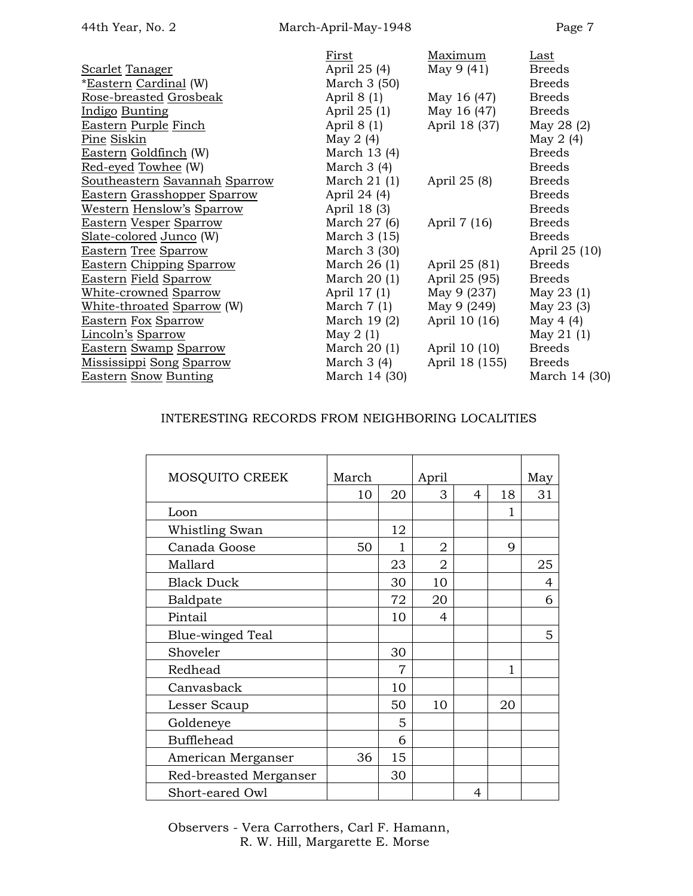|                                 | First         | Maximum        | Last          |
|---------------------------------|---------------|----------------|---------------|
| <u>Scarlet Tanager</u>          | April 25 (4)  | May 9 (41)     | <b>Breeds</b> |
| <u>*Eastern Cardinal</u> (W)    | March $3(50)$ |                | <b>Breeds</b> |
| <u>Rose-breasted Grosbeak</u>   | April $8(1)$  | May 16 (47)    | <b>Breeds</b> |
| <u>Indigo Bunting</u>           | April 25 (1)  | May 16 (47)    | <b>Breeds</b> |
| Eastern Purple Finch            | April $8(1)$  | April 18 (37)  | May 28 (2)    |
| <u>Pine Siskin</u>              | May 2 $(4)$   |                | May $2(4)$    |
| Eastern Goldfinch (W)           | March 13 (4)  |                | <b>Breeds</b> |
| Red-eyed Towhee (W)             | March $3(4)$  |                | <b>Breeds</b> |
| Southeastern Savannah Sparrow   | March $21(1)$ | April 25 (8)   | <b>Breeds</b> |
| Eastern Grasshopper Sparrow     | April 24 (4)  |                | <b>Breeds</b> |
| Western Henslow's Sparrow       | April 18 (3)  |                | <b>Breeds</b> |
| Eastern Vesper Sparrow          | March $27(6)$ | April 7 (16)   | <b>Breeds</b> |
| Slate-colored Junco (W)         | March $3(15)$ |                | <b>Breeds</b> |
| <u>Eastern Tree Sparrow</u>     | March $3(30)$ |                | April 25 (10) |
| <b>Eastern Chipping Sparrow</b> | March $26(1)$ | April 25 (81)  | <b>Breeds</b> |
| <u>Eastern Field Sparrow</u>    | March $20(1)$ | April 25 (95)  | <b>Breeds</b> |
| <u>White-crowned Sparrow</u>    | April 17 (1)  | May 9 (237)    | May 23 (1)    |
| White-throated Sparrow (W)      | March $7(1)$  | May 9 (249)    | May 23 (3)    |
| Eastern Fox Sparrow             | March $19(2)$ | April 10 (16)  | May 4 $(4)$   |
| Lincoln's Sparrow               | May $2(1)$    |                | May 21 (1)    |
| Eastern Swamp Sparrow           | March $20(1)$ | April 10 (10)  | <b>Breeds</b> |
| <u>Mississippi Song Sparrow</u> | March $3(4)$  | April 18 (155) | <b>Breeds</b> |
| <u>Eastern Snow Bunting</u>     | March 14 (30) |                | March 14 (30) |
|                                 |               |                |               |

## INTERESTING RECORDS FROM NEIGHBORING LOCALITIES

| MOSQUITO CREEK         | March |    | April          |   |    | May |
|------------------------|-------|----|----------------|---|----|-----|
|                        | 10    | 20 | 3              | 4 | 18 | 31  |
| Loon                   |       |    |                |   | 1  |     |
| Whistling Swan         |       | 12 |                |   |    |     |
| Canada Goose           | 50    | 1  | 2              |   | 9  |     |
| Mallard                |       | 23 | $\overline{2}$ |   |    | 25  |
| <b>Black Duck</b>      |       | 30 | 10             |   |    | 4   |
| Baldpate               |       | 72 | 20             |   |    | 6   |
| Pintail                |       | 10 | 4              |   |    |     |
| Blue-winged Teal       |       |    |                |   |    | 5   |
| Shoveler               |       | 30 |                |   |    |     |
| Redhead                |       | 7  |                |   | 1  |     |
| Canvasback             |       | 10 |                |   |    |     |
| Lesser Scaup           |       | 50 | 10             |   | 20 |     |
| Goldeneye              |       | 5  |                |   |    |     |
| <b>Bufflehead</b>      |       | 6  |                |   |    |     |
| American Merganser     | 36    | 15 |                |   |    |     |
| Red-breasted Merganser |       | 30 |                |   |    |     |
| Short-eared Owl        |       |    |                | 4 |    |     |

Observers - Vera Carrothers, Carl F. Hamann, R. W. Hill, Margarette E. Morse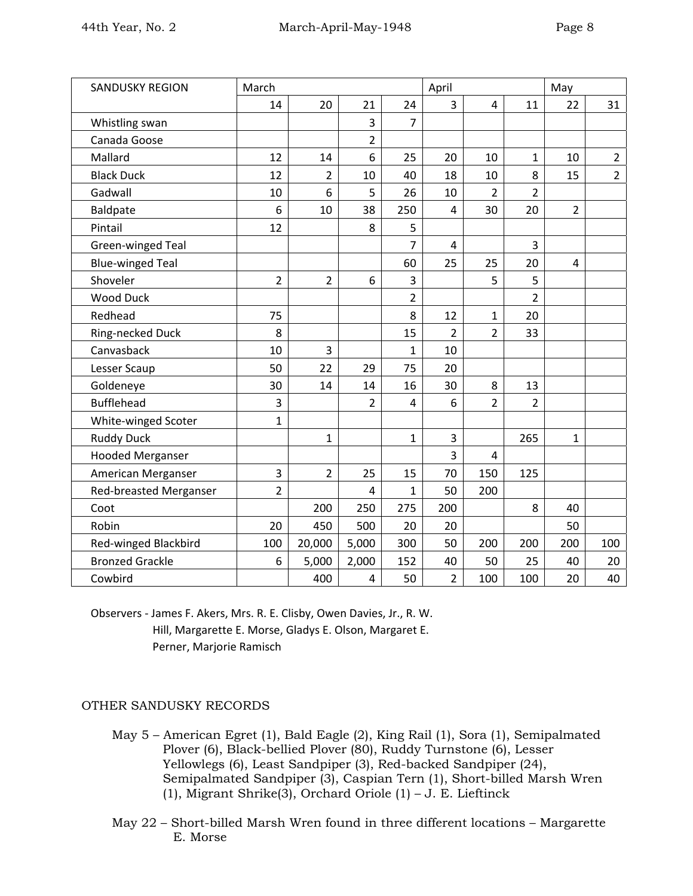| <b>SANDUSKY REGION</b>        | March          |                |                |                | April          |                |                | May            |                |
|-------------------------------|----------------|----------------|----------------|----------------|----------------|----------------|----------------|----------------|----------------|
|                               | 14             | 20             | 21             | 24             | 3              | 4              | 11             | 22             | 31             |
| Whistling swan                |                |                | 3              | 7              |                |                |                |                |                |
| Canada Goose                  |                |                | $\overline{2}$ |                |                |                |                |                |                |
| Mallard                       | 12             | 14             | 6              | 25             | 20             | 10             | $\mathbf{1}$   | 10             | $\overline{2}$ |
| <b>Black Duck</b>             | 12             | 2              | 10             | 40             | 18             | 10             | 8              | 15             | $\overline{2}$ |
| Gadwall                       | 10             | 6              | 5              | 26             | 10             | $\overline{2}$ | $\overline{2}$ |                |                |
| <b>Baldpate</b>               | 6              | 10             | 38             | 250            | 4              | 30             | 20             | $\overline{2}$ |                |
| Pintail                       | 12             |                | 8              | 5              |                |                |                |                |                |
| Green-winged Teal             |                |                |                | 7              | 4              |                | 3              |                |                |
| <b>Blue-winged Teal</b>       |                |                |                | 60             | 25             | 25             | 20             | 4              |                |
| Shoveler                      | $\overline{2}$ | $\overline{2}$ | 6              | 3              |                | 5              | 5              |                |                |
| <b>Wood Duck</b>              |                |                |                | 2              |                |                | $\overline{2}$ |                |                |
| Redhead                       | 75             |                |                | 8              | 12             | $\mathbf{1}$   | 20             |                |                |
| Ring-necked Duck              | 8              |                |                | 15             | $\overline{2}$ | $\overline{2}$ | 33             |                |                |
| Canvasback                    | 10             | 3              |                | 1              | 10             |                |                |                |                |
| Lesser Scaup                  | 50             | 22             | 29             | 75             | 20             |                |                |                |                |
| Goldeneye                     | 30             | 14             | 14             | 16             | 30             | 8              | 13             |                |                |
| <b>Bufflehead</b>             | 3              |                | $\overline{2}$ | $\overline{4}$ | 6              | $\overline{2}$ | $\overline{2}$ |                |                |
| White-winged Scoter           | $\mathbf{1}$   |                |                |                |                |                |                |                |                |
| <b>Ruddy Duck</b>             |                | $\mathbf{1}$   |                | $\mathbf{1}$   | 3              |                | 265            | 1              |                |
| <b>Hooded Merganser</b>       |                |                |                |                | 3              | 4              |                |                |                |
| American Merganser            | 3              | $\overline{2}$ | 25             | 15             | 70             | 150            | 125            |                |                |
| <b>Red-breasted Merganser</b> | $\overline{2}$ |                | 4              | 1              | 50             | 200            |                |                |                |
| Coot                          |                | 200            | 250            | 275            | 200            |                | 8              | 40             |                |
| Robin                         | 20             | 450            | 500            | 20             | 20             |                |                | 50             |                |
| Red-winged Blackbird          | 100            | 20,000         | 5,000          | 300            | 50             | 200            | 200            | 200            | 100            |
| <b>Bronzed Grackle</b>        | 6              | 5,000          | 2,000          | 152            | 40             | 50             | 25             | 40             | 20             |
| Cowbird                       |                | 400            | $\overline{a}$ | 50             | $\overline{2}$ | 100            | 100            | 20             | 40             |

Observers ‐ James F. Akers, Mrs. R. E. Clisby, Owen Davies, Jr., R. W. Hill, Margarette E. Morse, Gladys E. Olson, Margaret E. Perner, Marjorie Ramisch

## OTHER SANDUSKY RECORDS

- May 5 American Egret (1), Bald Eagle (2), King Rail (1), Sora (1), Semipalmated Plover (6), Black-bellied Plover (80), Ruddy Turnstone (6), Lesser Yellowlegs (6), Least Sandpiper (3), Red-backed Sandpiper (24), Semipalmated Sandpiper (3), Caspian Tern (1), Short-billed Marsh Wren (1), Migrant Shrike(3), Orchard Oriole (1) – J. E. Lieftinck
- May 22 Short-billed Marsh Wren found in three different locations Margarette E. Morse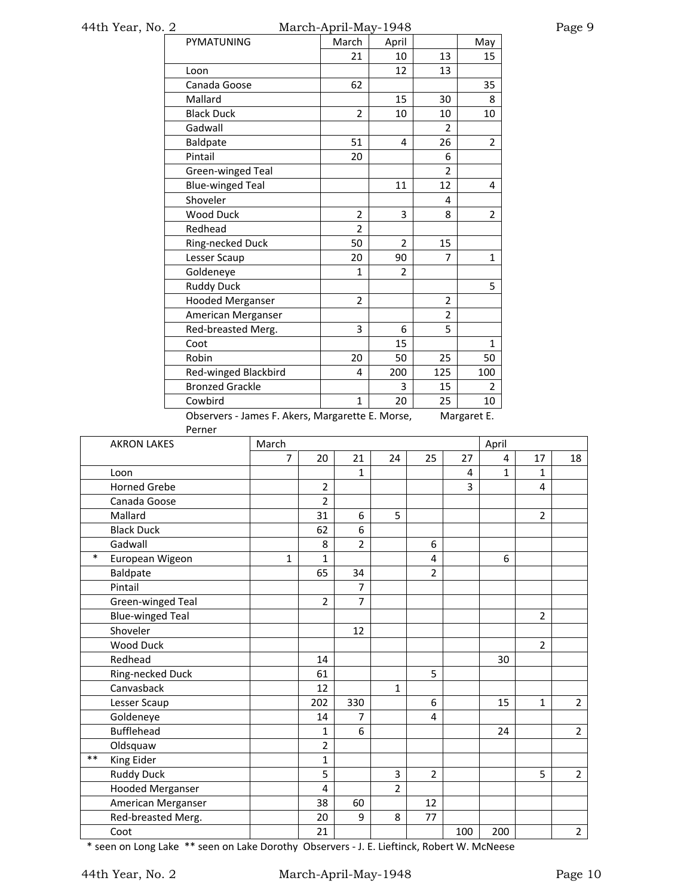# 44th Year, No. 2 March-April-May-1948 Page 9

| PYMATUNING              | March                                                     | April          |                | May            |  |  |  |  |
|-------------------------|-----------------------------------------------------------|----------------|----------------|----------------|--|--|--|--|
|                         | 21                                                        | 10             | 13             | 15             |  |  |  |  |
| Loon                    |                                                           | 12             | 13             |                |  |  |  |  |
| Canada Goose            | 62                                                        |                |                | 35             |  |  |  |  |
| Mallard                 |                                                           | 15             | 30             | 8              |  |  |  |  |
| <b>Black Duck</b>       | $\overline{2}$                                            | 10             | 10             | 10             |  |  |  |  |
| Gadwall                 |                                                           |                | $\overline{2}$ |                |  |  |  |  |
| Baldpate                | 51                                                        | 4              | 26             | $\overline{2}$ |  |  |  |  |
| Pintail                 | 20                                                        |                | 6              |                |  |  |  |  |
| Green-winged Teal       |                                                           |                | $\overline{2}$ |                |  |  |  |  |
| <b>Blue-winged Teal</b> |                                                           | 11             | 12             | 4              |  |  |  |  |
| Shoveler                |                                                           |                | 4              |                |  |  |  |  |
| <b>Wood Duck</b>        | $\overline{2}$                                            | 3              | 8              | 2              |  |  |  |  |
| Redhead                 | $\overline{2}$                                            |                |                |                |  |  |  |  |
| Ring-necked Duck        | 50                                                        | $\overline{2}$ | 15             |                |  |  |  |  |
| Lesser Scaup            | 20                                                        | 90             | 7              | 1              |  |  |  |  |
| Goldeneye               | $\mathbf{1}$                                              | 2              |                |                |  |  |  |  |
| <b>Ruddy Duck</b>       |                                                           |                |                | 5              |  |  |  |  |
| <b>Hooded Merganser</b> | $\overline{2}$                                            |                | $\overline{2}$ |                |  |  |  |  |
| American Merganser      |                                                           |                | 2              |                |  |  |  |  |
| Red-breasted Merg.      | 3                                                         | 6              | 5              |                |  |  |  |  |
| Coot                    |                                                           | 15             |                | $\mathbf{1}$   |  |  |  |  |
| Robin                   | 20                                                        | 50             | 25             | 50             |  |  |  |  |
| Red-winged Blackbird    | 4                                                         | 200            | 125            | 100            |  |  |  |  |
| <b>Bronzed Grackle</b>  |                                                           | 3              | 15             | 2              |  |  |  |  |
| Cowbird                 | $\mathbf{1}$                                              | 20             | 25             | 10             |  |  |  |  |
|                         | Observars James E. Alcre Margaretto E. Morso<br>Mərərət E |                |                |                |  |  |  |  |

Observers - James F. Akers, Margarette E. Morse, Margaret E. Perner

|        | <b>FEILIEI</b>          |              |                |                |                |                |     |                |                |                |
|--------|-------------------------|--------------|----------------|----------------|----------------|----------------|-----|----------------|----------------|----------------|
|        | <b>AKRON LAKES</b>      | March        |                |                |                |                |     | April          |                |                |
|        |                         | 7            | 20             | 21             | 24             | 25             | 27  | $\overline{4}$ | 17             | 18             |
|        | Loon                    |              |                | $\mathbf{1}$   |                |                | 4   | $\mathbf{1}$   | $\mathbf{1}$   |                |
|        | <b>Horned Grebe</b>     |              | $\overline{2}$ |                |                |                | 3   |                | 4              |                |
|        | Canada Goose            |              | $\overline{2}$ |                |                |                |     |                |                |                |
|        | Mallard                 |              | 31             | 6              | 5              |                |     |                | $\overline{2}$ |                |
|        | <b>Black Duck</b>       |              | 62             | 6              |                |                |     |                |                |                |
|        | Gadwall                 |              | 8              | $\overline{2}$ |                | 6              |     |                |                |                |
| $\ast$ | European Wigeon         | $\mathbf{1}$ | $\mathbf{1}$   |                |                | 4              |     | 6              |                |                |
|        | Baldpate                |              | 65             | 34             |                | $\overline{2}$ |     |                |                |                |
|        | Pintail                 |              |                | $\overline{7}$ |                |                |     |                |                |                |
|        | Green-winged Teal       |              | $\overline{2}$ | 7              |                |                |     |                |                |                |
|        | <b>Blue-winged Teal</b> |              |                |                |                |                |     |                | $\overline{2}$ |                |
|        | Shoveler                |              |                | 12             |                |                |     |                |                |                |
|        | Wood Duck               |              |                |                |                |                |     |                | $\overline{2}$ |                |
|        | Redhead                 |              | 14             |                |                |                |     | 30             |                |                |
|        | Ring-necked Duck        |              | 61             |                |                | 5              |     |                |                |                |
|        | Canvasback              |              | 12             |                | 1              |                |     |                |                |                |
|        | Lesser Scaup            |              | 202            | 330            |                | 6              |     | 15             | $\mathbf{1}$   | $\overline{2}$ |
|        | Goldeneye               |              | 14             | 7              |                | 4              |     |                |                |                |
|        | <b>Bufflehead</b>       |              | 1              | 6              |                |                |     | 24             |                | $\overline{2}$ |
|        | Oldsquaw                |              | $\overline{2}$ |                |                |                |     |                |                |                |
| $***$  | King Eider              |              | $\mathbf 1$    |                |                |                |     |                |                |                |
|        | <b>Ruddy Duck</b>       |              | 5              |                | 3              | $\overline{2}$ |     |                | 5              | $\overline{2}$ |
|        | <b>Hooded Merganser</b> |              | 4              |                | $\overline{2}$ |                |     |                |                |                |
|        | American Merganser      |              | 38             | 60             |                | 12             |     |                |                |                |
|        | Red-breasted Merg.      |              | 20             | 9              | 8              | 77             |     |                |                |                |
|        | Coot                    |              | 21             |                |                |                | 100 | 200            |                | $\overline{2}$ |

\* seen on Long Lake \*\* seen on Lake Dorothy Observers ‐ J. E. Lieftinck, Robert W. McNeese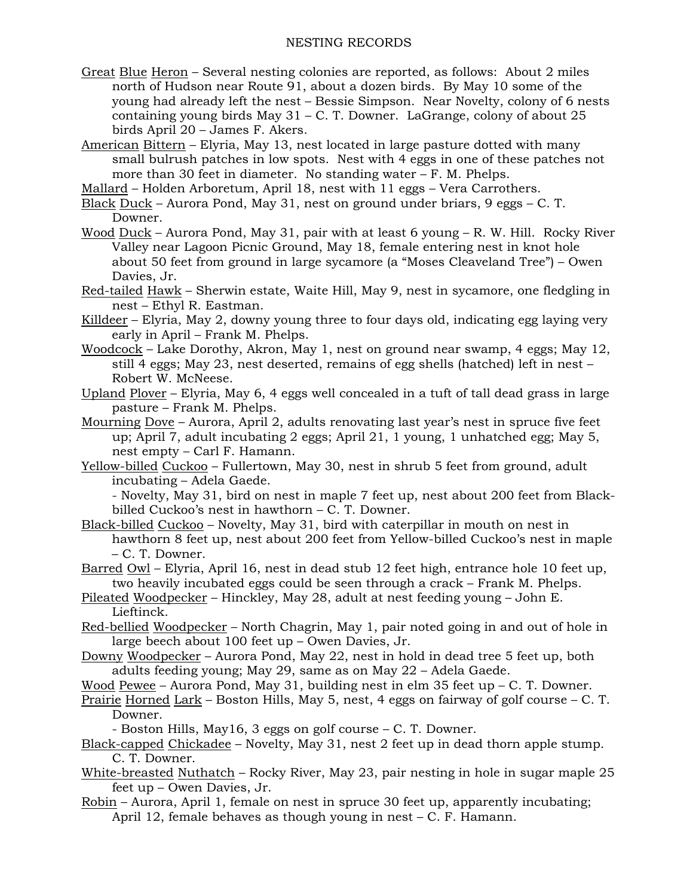### NESTING RECORDS

Great Blue Heron – Several nesting colonies are reported, as follows: About 2 miles north of Hudson near Route 91, about a dozen birds. By May 10 some of the young had already left the nest – Bessie Simpson. Near Novelty, colony of 6 nests containing young birds May  $31 - C$ . T. Downer. LaGrange, colony of about 25 birds April 20 – James F. Akers.

American Bittern – Elyria, May 13, nest located in large pasture dotted with many small bulrush patches in low spots. Nest with 4 eggs in one of these patches not more than 30 feet in diameter. No standing water – F. M. Phelps.

- Mallard Holden Arboretum, April 18, nest with 11 eggs Vera Carrothers.
- Black Duck Aurora Pond, May 31, nest on ground under briars, 9 eggs C. T. Downer.
- Wood Duck Aurora Pond, May 31, pair with at least 6 young R. W. Hill. Rocky River Valley near Lagoon Picnic Ground, May 18, female entering nest in knot hole about 50 feet from ground in large sycamore (a "Moses Cleaveland Tree") – Owen Davies, Jr.
- Red-tailed Hawk Sherwin estate, Waite Hill, May 9, nest in sycamore, one fledgling in nest – Ethyl R. Eastman.
- Killdeer Elyria, May 2, downy young three to four days old, indicating egg laying very early in April – Frank M. Phelps.
- Woodcock Lake Dorothy, Akron, May 1, nest on ground near swamp, 4 eggs; May 12, still 4 eggs; May 23, nest deserted, remains of egg shells (hatched) left in nest – Robert W. McNeese.
- Upland Plover Elyria, May 6, 4 eggs well concealed in a tuft of tall dead grass in large pasture – Frank M. Phelps.
- Mourning Dove Aurora, April 2, adults renovating last year's nest in spruce five feet up; April 7, adult incubating 2 eggs; April 21, 1 young, 1 unhatched egg; May 5, nest empty – Carl F. Hamann.
- Yellow-billed Cuckoo Fullertown, May 30, nest in shrub 5 feet from ground, adult incubating – Adela Gaede.

- Novelty, May 31, bird on nest in maple 7 feet up, nest about 200 feet from Blackbilled Cuckoo's nest in hawthorn – C. T. Downer.

- Black-billed Cuckoo Novelty, May 31, bird with caterpillar in mouth on nest in hawthorn 8 feet up, nest about 200 feet from Yellow-billed Cuckoo's nest in maple – C. T. Downer.
- Barred Owl Elyria, April 16, nest in dead stub 12 feet high, entrance hole 10 feet up, two heavily incubated eggs could be seen through a crack – Frank M. Phelps.
- Pileated Woodpecker Hinckley, May 28, adult at nest feeding young John E. Lieftinck.
- Red-bellied Woodpecker North Chagrin, May 1, pair noted going in and out of hole in large beech about 100 feet up – Owen Davies, Jr.
- Downy Woodpecker Aurora Pond, May 22, nest in hold in dead tree 5 feet up, both adults feeding young; May 29, same as on May 22 – Adela Gaede.
- Wood Pewee Aurora Pond, May 31, building nest in elm 35 feet up C. T. Downer.
- Prairie Horned Lark Boston Hills, May 5, nest, 4 eggs on fairway of golf course C. T. Downer.
	- Boston Hills, May16, 3 eggs on golf course C. T. Downer.
- Black-capped Chickadee Novelty, May 31, nest 2 feet up in dead thorn apple stump. C. T. Downer.
- White-breasted Nuthatch Rocky River, May 23, pair nesting in hole in sugar maple 25 feet up – Owen Davies, Jr.
- Robin Aurora, April 1, female on nest in spruce 30 feet up, apparently incubating; April 12, female behaves as though young in nest – C. F. Hamann.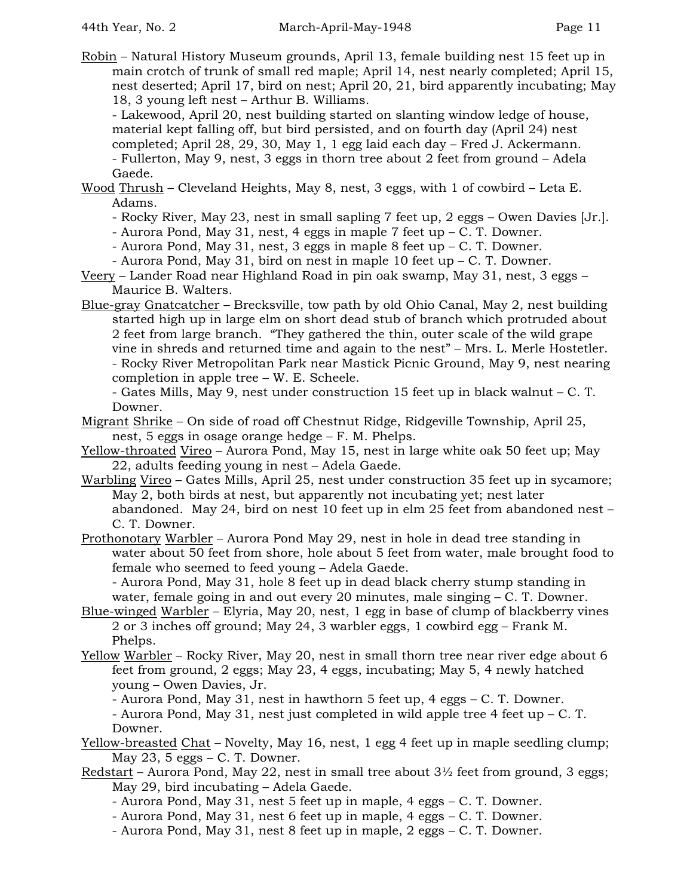Robin – Natural History Museum grounds, April 13, female building nest 15 feet up in main crotch of trunk of small red maple; April 14, nest nearly completed; April 15, nest deserted; April 17, bird on nest; April 20, 21, bird apparently incubating; May 18, 3 young left nest – Arthur B. Williams.

- Lakewood, April 20, nest building started on slanting window ledge of house, material kept falling off, but bird persisted, and on fourth day (April 24) nest completed; April 28, 29, 30, May 1, 1 egg laid each day – Fred J. Ackermann. - Fullerton, May 9, nest, 3 eggs in thorn tree about 2 feet from ground – Adela Gaede.

Wood Thrush – Cleveland Heights, May 8, nest, 3 eggs, with 1 of cowbird – Leta E. Adams.

- Rocky River, May 23, nest in small sapling 7 feet up, 2 eggs – Owen Davies [Jr.].

- Aurora Pond, May 31, nest, 4 eggs in maple 7 feet up  $-$  C. T. Downer.

- Aurora Pond, May 31, nest, 3 eggs in maple 8 feet up  $-$  C. T. Downer.

- Aurora Pond, May 31, bird on nest in maple 10 feet up – C. T. Downer.

- Veery Lander Road near Highland Road in pin oak swamp, May 31, nest, 3 eggs Maurice B. Walters.
- Blue-gray Gnatcatcher Brecksville, tow path by old Ohio Canal, May 2, nest building started high up in large elm on short dead stub of branch which protruded about 2 feet from large branch. "They gathered the thin, outer scale of the wild grape vine in shreds and returned time and again to the nest" – Mrs. L. Merle Hostetler. - Rocky River Metropolitan Park near Mastick Picnic Ground, May 9, nest nearing completion in apple tree – W. E. Scheele.

- Gates Mills, May 9, nest under construction 15 feet up in black walnut – C. T. Downer.

- Migrant Shrike On side of road off Chestnut Ridge, Ridgeville Township, April 25, nest, 5 eggs in osage orange hedge – F. M. Phelps.
- Yellow-throated Vireo Aurora Pond, May 15, nest in large white oak 50 feet up; May 22, adults feeding young in nest – Adela Gaede.
- Warbling Vireo Gates Mills, April 25, nest under construction 35 feet up in sycamore; May 2, both birds at nest, but apparently not incubating yet; nest later abandoned. May 24, bird on nest 10 feet up in elm 25 feet from abandoned nest – C. T. Downer.
- Prothonotary Warbler Aurora Pond May 29, nest in hole in dead tree standing in water about 50 feet from shore, hole about 5 feet from water, male brought food to female who seemed to feed young – Adela Gaede.

- Aurora Pond, May 31, hole 8 feet up in dead black cherry stump standing in water, female going in and out every 20 minutes, male singing – C. T. Downer.

- Blue-winged Warbler Elyria, May 20, nest, 1 egg in base of clump of blackberry vines 2 or 3 inches off ground; May 24, 3 warbler eggs, 1 cowbird egg – Frank M. Phelps.
- Yellow Warbler Rocky River, May 20, nest in small thorn tree near river edge about 6 feet from ground, 2 eggs; May 23, 4 eggs, incubating; May 5, 4 newly hatched young – Owen Davies, Jr.

- Aurora Pond, May 31, nest in hawthorn 5 feet up, 4 eggs – C. T. Downer.

- Aurora Pond, May 31, nest just completed in wild apple tree 4 feet up – C. T. Downer.

- Yellow-breasted Chat Novelty, May 16, nest, 1 egg 4 feet up in maple seedling clump; May  $23$ , 5 eggs – C. T. Downer.
- Redstart Aurora Pond, May 22, nest in small tree about  $3\frac{1}{2}$  feet from ground, 3 eggs; May 29, bird incubating – Adela Gaede.
	- Aurora Pond, May 31, nest 5 feet up in maple, 4 eggs C. T. Downer.
	- Aurora Pond, May 31, nest 6 feet up in maple, 4 eggs C. T. Downer.
	- Aurora Pond, May 31, nest 8 feet up in maple, 2 eggs C. T. Downer.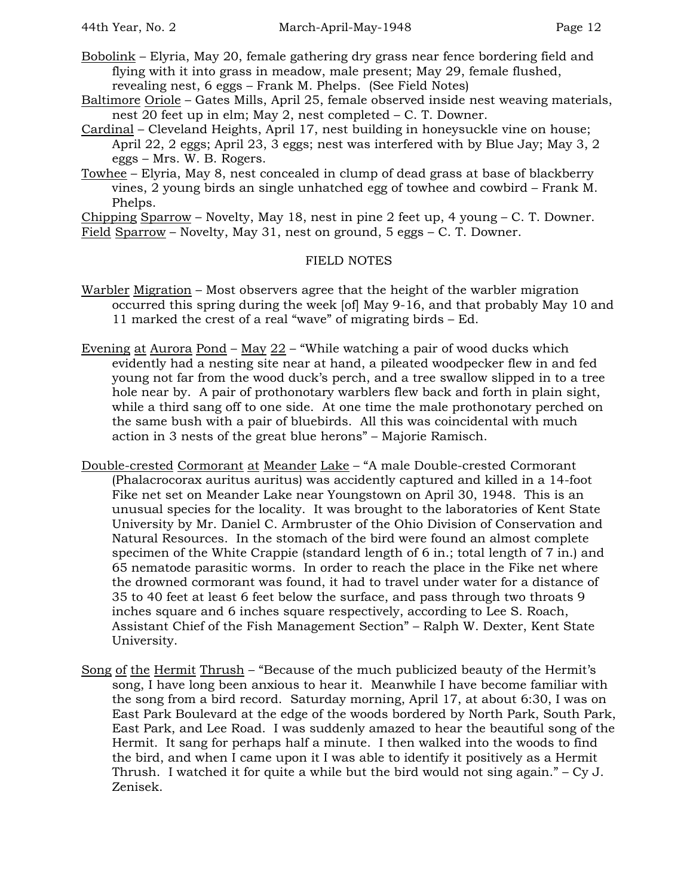- Bobolink Elyria, May 20, female gathering dry grass near fence bordering field and flying with it into grass in meadow, male present; May 29, female flushed, revealing nest, 6 eggs – Frank M. Phelps. (See Field Notes)
- Baltimore Oriole Gates Mills, April 25, female observed inside nest weaving materials, nest 20 feet up in elm; May 2, nest completed – C. T. Downer.
- Cardinal Cleveland Heights, April 17, nest building in honeysuckle vine on house; April 22, 2 eggs; April 23, 3 eggs; nest was interfered with by Blue Jay; May 3, 2 eggs – Mrs. W. B. Rogers.
- Towhee Elyria, May 8, nest concealed in clump of dead grass at base of blackberry vines, 2 young birds an single unhatched egg of towhee and cowbird – Frank M. Phelps.

Chipping Sparrow – Novelty, May 18, nest in pine 2 feet up, 4 young – C. T. Downer. Field Sparrow – Novelty, May 31, nest on ground, 5 eggs – C. T. Downer.

## FIELD NOTES

- Warbler Migration Most observers agree that the height of the warbler migration occurred this spring during the week [of] May 9-16, and that probably May 10 and 11 marked the crest of a real "wave" of migrating birds – Ed.
- <u>Evening at Aurora Pond May 22</u> "While watching a pair of wood ducks which evidently had a nesting site near at hand, a pileated woodpecker flew in and fed young not far from the wood duck's perch, and a tree swallow slipped in to a tree hole near by. A pair of prothonotary warblers flew back and forth in plain sight, while a third sang off to one side. At one time the male prothonotary perched on the same bush with a pair of bluebirds. All this was coincidental with much action in 3 nests of the great blue herons" – Majorie Ramisch.
- Double-crested Cormorant at Meander Lake "A male Double-crested Cormorant (Phalacrocorax auritus auritus) was accidently captured and killed in a 14-foot Fike net set on Meander Lake near Youngstown on April 30, 1948. This is an unusual species for the locality. It was brought to the laboratories of Kent State University by Mr. Daniel C. Armbruster of the Ohio Division of Conservation and Natural Resources. In the stomach of the bird were found an almost complete specimen of the White Crappie (standard length of 6 in.; total length of 7 in.) and 65 nematode parasitic worms. In order to reach the place in the Fike net where the drowned cormorant was found, it had to travel under water for a distance of 35 to 40 feet at least 6 feet below the surface, and pass through two throats 9 inches square and 6 inches square respectively, according to Lee S. Roach, Assistant Chief of the Fish Management Section" – Ralph W. Dexter, Kent State University.
- Song of the Hermit Thrush "Because of the much publicized beauty of the Hermit's song, I have long been anxious to hear it. Meanwhile I have become familiar with the song from a bird record. Saturday morning, April 17, at about 6:30, I was on East Park Boulevard at the edge of the woods bordered by North Park, South Park, East Park, and Lee Road. I was suddenly amazed to hear the beautiful song of the Hermit. It sang for perhaps half a minute. I then walked into the woods to find the bird, and when I came upon it I was able to identify it positively as a Hermit Thrush. I watched it for quite a while but the bird would not sing again." – Cy J. Zenisek.